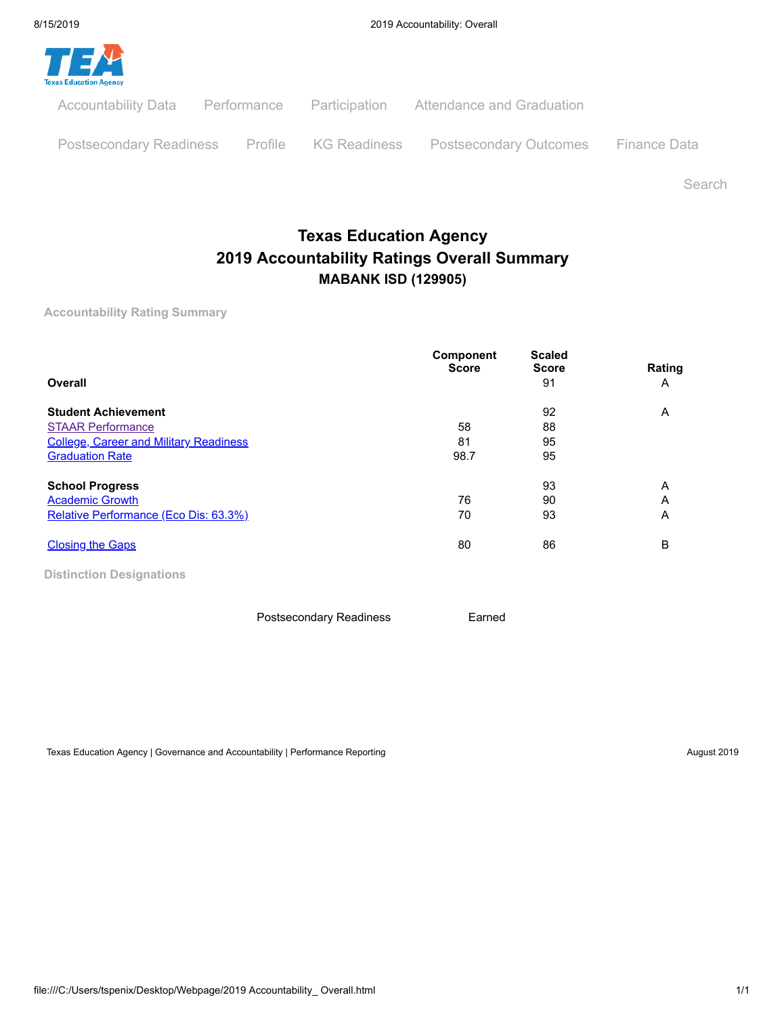

Postsecondary Readiness Profile KG Readiness Postsecondary Outcomes Finance Data

Search

## **Texas Education Agency 2019 Accountability Ratings Overall Summary MABANK ISD (129905)**

**Accountability Rating Summary**

| Overall                                       | Component<br><b>Score</b> | <b>Scaled</b><br><b>Score</b><br>91 | Rating<br>A |
|-----------------------------------------------|---------------------------|-------------------------------------|-------------|
| <b>Student Achievement</b>                    |                           | 92                                  | A           |
| <b>STAAR Performance</b>                      | 58                        | 88                                  |             |
| <b>College, Career and Military Readiness</b> | 81                        | 95                                  |             |
| <b>Graduation Rate</b>                        | 98.7                      | 95                                  |             |
| <b>School Progress</b>                        |                           | 93                                  | Α           |
| <b>Academic Growth</b>                        | 76                        | 90                                  | Α           |
| Relative Performance (Eco Dis: 63.3%)         | 70                        | 93                                  | Α           |
| <b>Closing the Gaps</b>                       | 80                        | 86                                  | B           |

**Distinction Designations**

Postsecondary Readiness **Earned** 

Texas Education Agency | Governance and Accountability | Performance Reporting August 2019